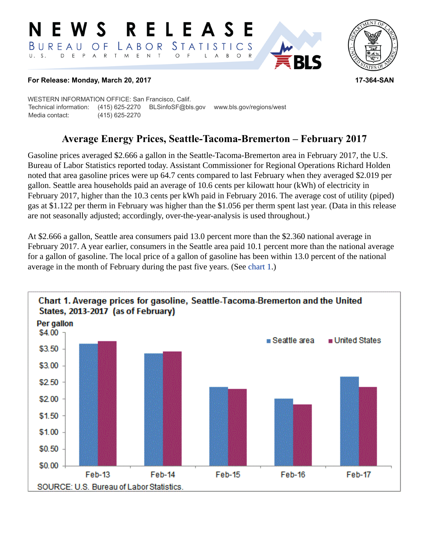## RELEASE E W S *STATISTICS* LABOR  $B$  U R E A U O F D E P A R T M E N T  $\circ$  $U. S.$  $\overline{F}$ L  $\overline{A}$  $B$  $\circ$



## **For Release: Monday, March 20, 2017 17-364-SAN**

WESTERN INFORMATION OFFICE: San Francisco, Calif. Technical information: (415) 625-2270 BLSinfoSF@bls.gov www.bls.gov/regions/west Media contact: (415) 625-2270

## **Average Energy Prices, Seattle-Tacoma-Bremerton – February 2017**

Gasoline prices averaged \$2.666 a gallon in the Seattle-Tacoma-Bremerton area in February 2017, the U.S. Bureau of Labor Statistics reported today. Assistant Commissioner for Regional Operations Richard Holden noted that area gasoline prices were up 64.7 cents compared to last February when they averaged \$2.019 per gallon. Seattle area households paid an average of 10.6 cents per kilowatt hour (kWh) of electricity in February 2017, higher than the 10.3 cents per kWh paid in February 2016. The average cost of utility (piped) gas at \$1.122 per therm in February was higher than the \$1.056 per therm spent last year. (Data in this release are not seasonally adjusted; accordingly, over-the-year-analysis is used throughout.)

At \$2.666 a gallon, Seattle area consumers paid 13.0 percent more than the \$2.360 national average in February 2017. A year earlier, consumers in the Seattle area paid 10.1 percent more than the national average for a gallon of gasoline. The local price of a gallon of gasoline has been within 13.0 percent of the national average in the month of February during the past five years. (See [chart 1](#page-0-0).)

<span id="page-0-0"></span>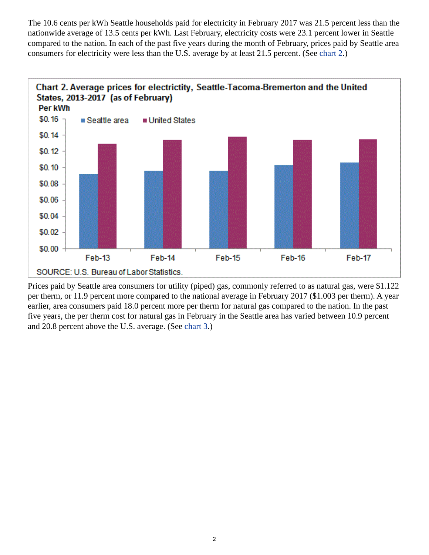The 10.6 cents per kWh Seattle households paid for electricity in February 2017 was 21.5 percent less than the nationwide average of 13.5 cents per kWh. Last February, electricity costs were 23.1 percent lower in Seattle compared to the nation. In each of the past five years during the month of February, prices paid by Seattle area consumers for electricity were less than the U.S. average by at least 21.5 percent. (See [chart 2](#page-1-0).)

<span id="page-1-0"></span>

<span id="page-1-1"></span>Prices paid by Seattle area consumers for utility (piped) gas, commonly referred to as natural gas, were \$1.122 per therm, or 11.9 percent more compared to the national average in February 2017 (\$1.003 per therm). A year earlier, area consumers paid 18.0 percent more per therm for natural gas compared to the nation. In the past five years, the per therm cost for natural gas in February in the Seattle area has varied between 10.9 percent and 20.8 percent above the U.S. average. (See [chart 3](#page-1-1).)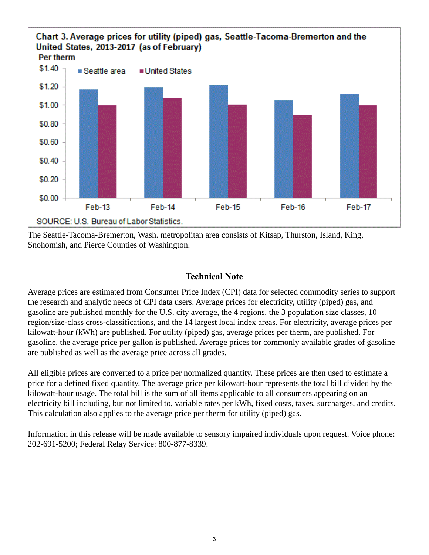

The Seattle-Tacoma-Bremerton, Wash. metropolitan area consists of Kitsap, Thurston, Island, King, Snohomish, and Pierce Counties of Washington.

## **Technical Note**

Average prices are estimated from Consumer Price Index (CPI) data for selected commodity series to support the research and analytic needs of CPI data users. Average prices for electricity, utility (piped) gas, and gasoline are published monthly for the U.S. city average, the 4 regions, the 3 population size classes, 10 region/size-class cross-classifications, and the 14 largest local index areas. For electricity, average prices per kilowatt-hour (kWh) are published. For utility (piped) gas, average prices per therm, are published. For gasoline, the average price per gallon is published. Average prices for commonly available grades of gasoline are published as well as the average price across all grades.

All eligible prices are converted to a price per normalized quantity. These prices are then used to estimate a price for a defined fixed quantity. The average price per kilowatt-hour represents the total bill divided by the kilowatt-hour usage. The total bill is the sum of all items applicable to all consumers appearing on an electricity bill including, but not limited to, variable rates per kWh, fixed costs, taxes, surcharges, and credits. This calculation also applies to the average price per therm for utility (piped) gas.

Information in this release will be made available to sensory impaired individuals upon request. Voice phone: 202-691-5200; Federal Relay Service: 800-877-8339.